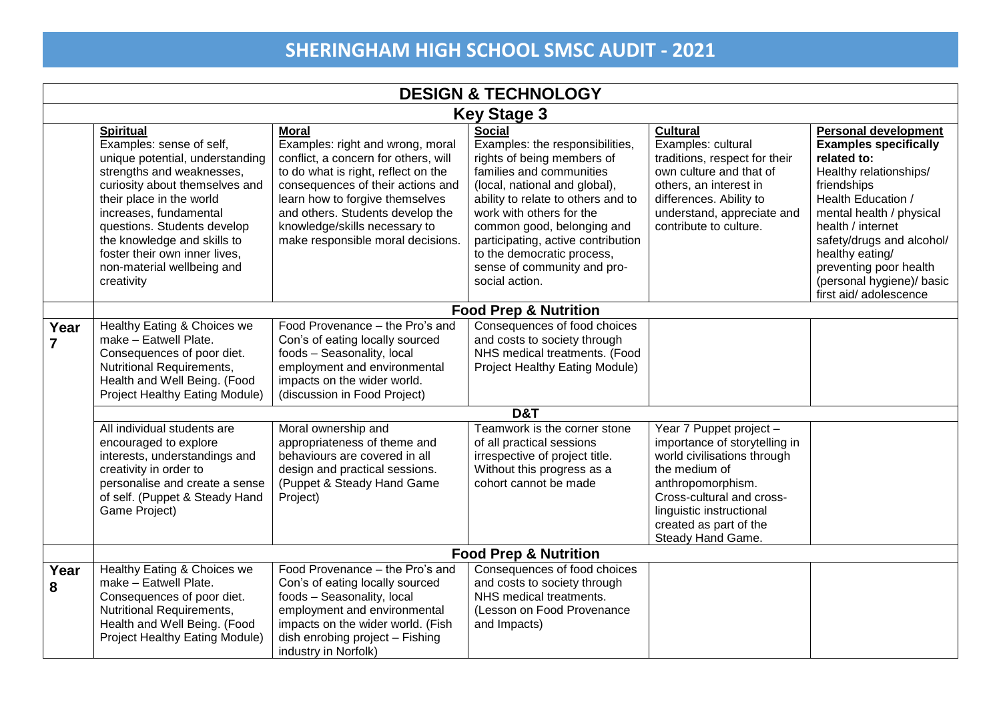|                        | <b>DESIGN &amp; TECHNOLOGY</b>                                                                                                                                                                                                                                                                                                                  |                                                                                                                                                                                                                                                                                                                   |                                                                                                                                                                                                                                                                                                                                                                  |                                                                                                                                                                                                                                       |                                                                                                                                                                                                                                                                                                                             |  |  |
|------------------------|-------------------------------------------------------------------------------------------------------------------------------------------------------------------------------------------------------------------------------------------------------------------------------------------------------------------------------------------------|-------------------------------------------------------------------------------------------------------------------------------------------------------------------------------------------------------------------------------------------------------------------------------------------------------------------|------------------------------------------------------------------------------------------------------------------------------------------------------------------------------------------------------------------------------------------------------------------------------------------------------------------------------------------------------------------|---------------------------------------------------------------------------------------------------------------------------------------------------------------------------------------------------------------------------------------|-----------------------------------------------------------------------------------------------------------------------------------------------------------------------------------------------------------------------------------------------------------------------------------------------------------------------------|--|--|
|                        | <b>Key Stage 3</b>                                                                                                                                                                                                                                                                                                                              |                                                                                                                                                                                                                                                                                                                   |                                                                                                                                                                                                                                                                                                                                                                  |                                                                                                                                                                                                                                       |                                                                                                                                                                                                                                                                                                                             |  |  |
|                        | <b>Spiritual</b><br>Examples: sense of self,<br>unique potential, understanding<br>strengths and weaknesses,<br>curiosity about themselves and<br>their place in the world<br>increases, fundamental<br>questions. Students develop<br>the knowledge and skills to<br>foster their own inner lives,<br>non-material wellbeing and<br>creativity | <b>Moral</b><br>Examples: right and wrong, moral<br>conflict, a concern for others, will<br>to do what is right, reflect on the<br>consequences of their actions and<br>learn how to forgive themselves<br>and others. Students develop the<br>knowledge/skills necessary to<br>make responsible moral decisions. | <b>Social</b><br>Examples: the responsibilities,<br>rights of being members of<br>families and communities<br>(local, national and global),<br>ability to relate to others and to<br>work with others for the<br>common good, belonging and<br>participating, active contribution<br>to the democratic process,<br>sense of community and pro-<br>social action. | <b>Cultural</b><br>Examples: cultural<br>traditions, respect for their<br>own culture and that of<br>others, an interest in<br>differences. Ability to<br>understand, appreciate and<br>contribute to culture.                        | <b>Personal development</b><br><b>Examples specifically</b><br>related to:<br>Healthy relationships/<br>friendships<br>Health Education /<br>mental health / physical<br>health / internet<br>safety/drugs and alcohol/<br>healthy eating/<br>preventing poor health<br>(personal hygiene)/ basic<br>first aid/ adolescence |  |  |
|                        | <b>Food Prep &amp; Nutrition</b>                                                                                                                                                                                                                                                                                                                |                                                                                                                                                                                                                                                                                                                   |                                                                                                                                                                                                                                                                                                                                                                  |                                                                                                                                                                                                                                       |                                                                                                                                                                                                                                                                                                                             |  |  |
| Year<br>$\overline{7}$ | Healthy Eating & Choices we<br>make - Eatwell Plate.<br>Consequences of poor diet.<br>Nutritional Requirements,<br>Health and Well Being. (Food<br><b>Project Healthy Eating Module)</b>                                                                                                                                                        | Food Provenance - the Pro's and<br>Con's of eating locally sourced<br>foods - Seasonality, local<br>employment and environmental<br>impacts on the wider world.<br>(discussion in Food Project)                                                                                                                   | Consequences of food choices<br>and costs to society through<br>NHS medical treatments. (Food<br><b>Project Healthy Eating Module)</b>                                                                                                                                                                                                                           |                                                                                                                                                                                                                                       |                                                                                                                                                                                                                                                                                                                             |  |  |
|                        | D&T                                                                                                                                                                                                                                                                                                                                             |                                                                                                                                                                                                                                                                                                                   |                                                                                                                                                                                                                                                                                                                                                                  |                                                                                                                                                                                                                                       |                                                                                                                                                                                                                                                                                                                             |  |  |
|                        | All individual students are<br>encouraged to explore<br>interests, understandings and<br>creativity in order to<br>personalise and create a sense<br>of self. (Puppet & Steady Hand<br>Game Project)                                                                                                                                            | Moral ownership and<br>appropriateness of theme and<br>behaviours are covered in all<br>design and practical sessions.<br>(Puppet & Steady Hand Game<br>Project)                                                                                                                                                  | Teamwork is the corner stone<br>of all practical sessions<br>irrespective of project title.<br>Without this progress as a<br>cohort cannot be made                                                                                                                                                                                                               | Year 7 Puppet project -<br>importance of storytelling in<br>world civilisations through<br>the medium of<br>anthropomorphism.<br>Cross-cultural and cross-<br>linguistic instructional<br>created as part of the<br>Steady Hand Game. |                                                                                                                                                                                                                                                                                                                             |  |  |
|                        |                                                                                                                                                                                                                                                                                                                                                 |                                                                                                                                                                                                                                                                                                                   | <b>Food Prep &amp; Nutrition</b>                                                                                                                                                                                                                                                                                                                                 |                                                                                                                                                                                                                                       |                                                                                                                                                                                                                                                                                                                             |  |  |
| Year<br>8              | Healthy Eating & Choices we<br>make - Eatwell Plate.<br>Consequences of poor diet.<br>Nutritional Requirements,<br>Health and Well Being. (Food<br>Project Healthy Eating Module)                                                                                                                                                               | Food Provenance - the Pro's and<br>Con's of eating locally sourced<br>foods - Seasonality, local<br>employment and environmental<br>impacts on the wider world. (Fish<br>dish enrobing project - Fishing<br>industry in Norfolk)                                                                                  | Consequences of food choices<br>and costs to society through<br>NHS medical treatments.<br>(Lesson on Food Provenance<br>and Impacts)                                                                                                                                                                                                                            |                                                                                                                                                                                                                                       |                                                                                                                                                                                                                                                                                                                             |  |  |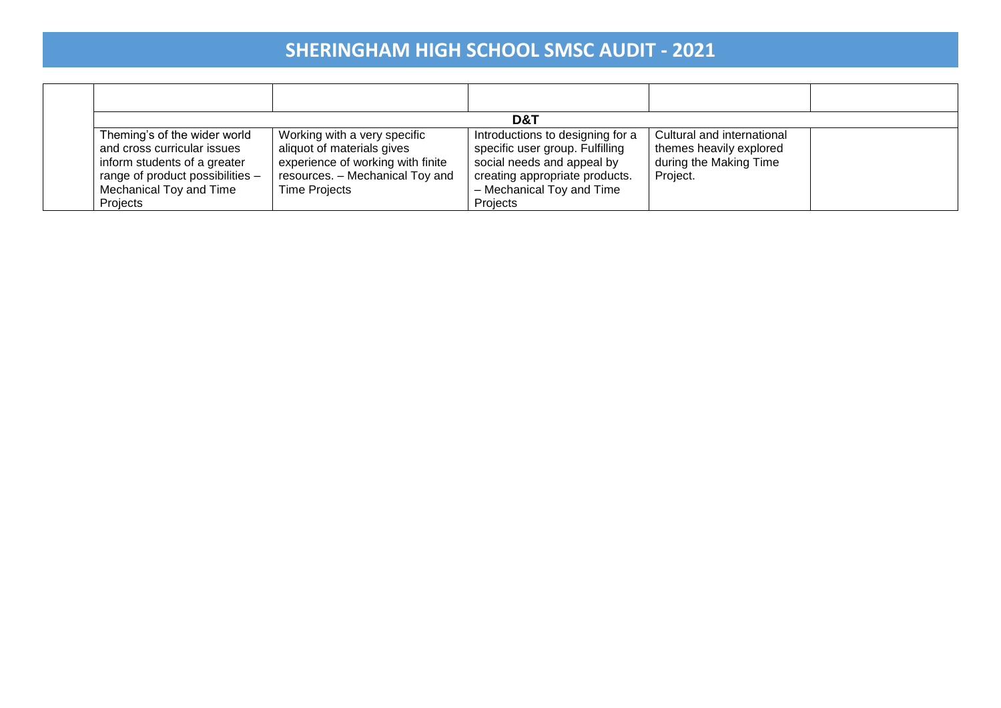|                                                                                                                                                                        |                                                                                                                                                            | D&T                                                                                                                                                                          |                                                                                             |  |
|------------------------------------------------------------------------------------------------------------------------------------------------------------------------|------------------------------------------------------------------------------------------------------------------------------------------------------------|------------------------------------------------------------------------------------------------------------------------------------------------------------------------------|---------------------------------------------------------------------------------------------|--|
| Theming's of the wider world<br>and cross curricular issues<br>inform students of a greater<br>range of product possibilities -<br>Mechanical Toy and Time<br>Projects | Working with a very specific<br>aliquot of materials gives<br>experience of working with finite<br>resources. - Mechanical Toy and<br><b>Time Projects</b> | Introductions to designing for a<br>specific user group. Fulfilling<br>social needs and appeal by<br>creating appropriate products.<br>- Mechanical Toy and Time<br>Projects | Cultural and international<br>themes heavily explored<br>during the Making Time<br>Project. |  |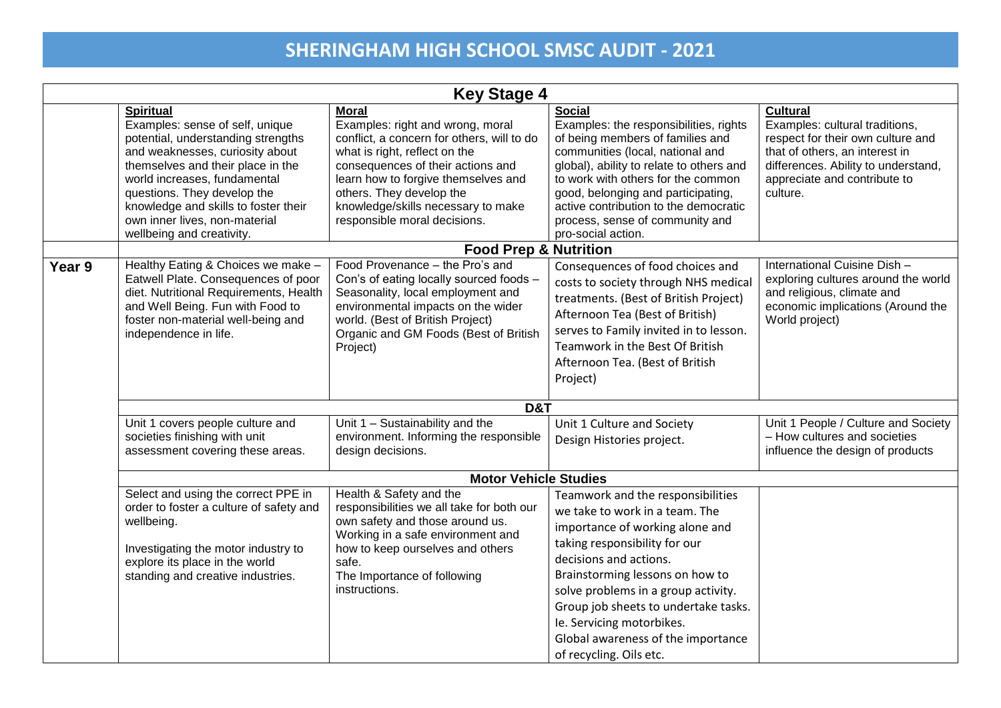|        | <b>Key Stage 4</b>                                                                                                                                                                                                                                                                                                                     |                                                                                                                                                                                                                                                                                                               |                                                                                                                                                                                                                                                                                                                                                                                   |                                                                                                                                                                                                             |  |
|--------|----------------------------------------------------------------------------------------------------------------------------------------------------------------------------------------------------------------------------------------------------------------------------------------------------------------------------------------|---------------------------------------------------------------------------------------------------------------------------------------------------------------------------------------------------------------------------------------------------------------------------------------------------------------|-----------------------------------------------------------------------------------------------------------------------------------------------------------------------------------------------------------------------------------------------------------------------------------------------------------------------------------------------------------------------------------|-------------------------------------------------------------------------------------------------------------------------------------------------------------------------------------------------------------|--|
|        | <b>Spiritual</b><br>Examples: sense of self, unique<br>potential, understanding strengths<br>and weaknesses, curiosity about<br>themselves and their place in the<br>world increases, fundamental<br>questions. They develop the<br>knowledge and skills to foster their<br>own inner lives, non-material<br>wellbeing and creativity. | <b>Moral</b><br>Examples: right and wrong, moral<br>conflict, a concern for others, will to do<br>what is right, reflect on the<br>consequences of their actions and<br>learn how to forgive themselves and<br>others. They develop the<br>knowledge/skills necessary to make<br>responsible moral decisions. | <b>Social</b><br>Examples: the responsibilities, rights<br>of being members of families and<br>communities (local, national and<br>global), ability to relate to others and<br>to work with others for the common<br>good, belonging and participating,<br>active contribution to the democratic<br>process, sense of community and<br>pro-social action.                         | <b>Cultural</b><br>Examples: cultural traditions,<br>respect for their own culture and<br>that of others, an interest in<br>differences. Ability to understand,<br>appreciate and contribute to<br>culture. |  |
|        |                                                                                                                                                                                                                                                                                                                                        | <b>Food Prep &amp; Nutrition</b>                                                                                                                                                                                                                                                                              |                                                                                                                                                                                                                                                                                                                                                                                   |                                                                                                                                                                                                             |  |
| Year 9 | Healthy Eating & Choices we make -<br>Eatwell Plate. Consequences of poor<br>diet. Nutritional Requirements, Health<br>and Well Being. Fun with Food to<br>foster non-material well-being and<br>independence in life.                                                                                                                 | Food Provenance - the Pro's and<br>Con's of eating locally sourced foods -<br>Seasonality, local employment and<br>environmental impacts on the wider<br>world. (Best of British Project)<br>Organic and GM Foods (Best of British<br>Project)                                                                | Consequences of food choices and<br>costs to society through NHS medical<br>treatments. (Best of British Project)<br>Afternoon Tea (Best of British)<br>serves to Family invited in to lesson.<br>Teamwork in the Best Of British<br>Afternoon Tea. (Best of British<br>Project)                                                                                                  | International Cuisine Dish -<br>exploring cultures around the world<br>and religious, climate and<br>economic implications (Around the<br>World project)                                                    |  |
|        |                                                                                                                                                                                                                                                                                                                                        | D&T                                                                                                                                                                                                                                                                                                           |                                                                                                                                                                                                                                                                                                                                                                                   |                                                                                                                                                                                                             |  |
|        | Unit 1 covers people culture and<br>societies finishing with unit<br>assessment covering these areas.                                                                                                                                                                                                                                  | Unit 1 - Sustainability and the<br>environment. Informing the responsible<br>design decisions.                                                                                                                                                                                                                | Unit 1 Culture and Society<br>Design Histories project.                                                                                                                                                                                                                                                                                                                           | Unit 1 People / Culture and Society<br>- How cultures and societies<br>influence the design of products                                                                                                     |  |
|        |                                                                                                                                                                                                                                                                                                                                        | <b>Motor Vehicle Studies</b>                                                                                                                                                                                                                                                                                  |                                                                                                                                                                                                                                                                                                                                                                                   |                                                                                                                                                                                                             |  |
|        | Select and using the correct PPE in<br>order to foster a culture of safety and<br>wellbeing.<br>Investigating the motor industry to<br>explore its place in the world<br>standing and creative industries.                                                                                                                             | Health & Safety and the<br>responsibilities we all take for both our<br>own safety and those around us.<br>Working in a safe environment and<br>how to keep ourselves and others<br>safe.<br>The Importance of following<br>instructions.                                                                     | Teamwork and the responsibilities<br>we take to work in a team. The<br>importance of working alone and<br>taking responsibility for our<br>decisions and actions.<br>Brainstorming lessons on how to<br>solve problems in a group activity.<br>Group job sheets to undertake tasks.<br>le. Servicing motorbikes.<br>Global awareness of the importance<br>of recycling. Oils etc. |                                                                                                                                                                                                             |  |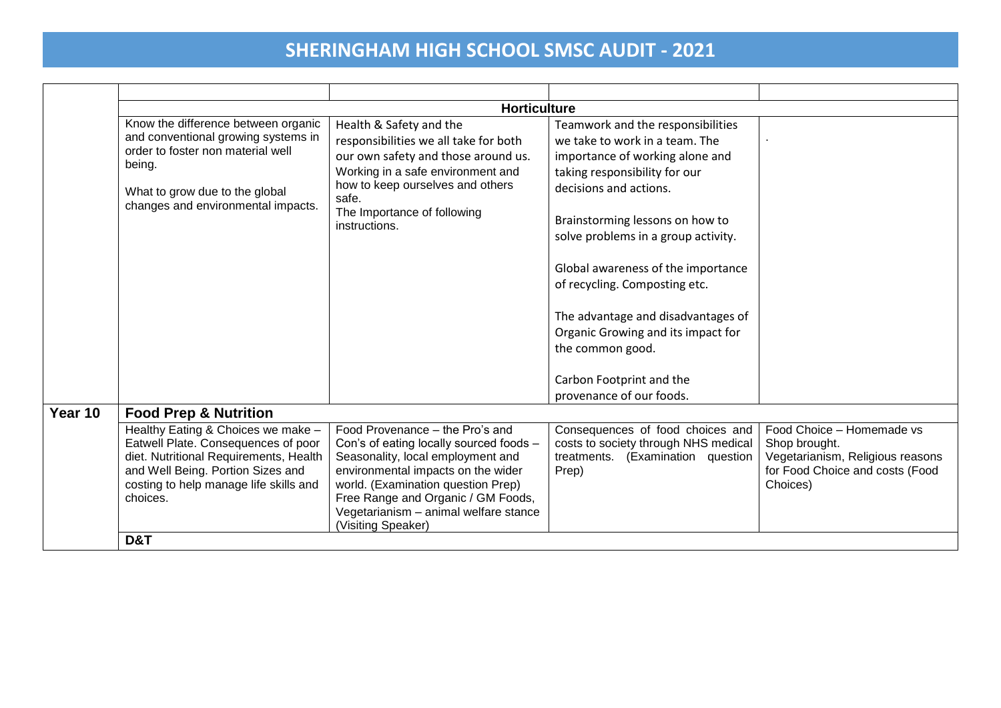|         |                                                                                                                                                                                                                                  | <b>Horticulture</b>                                                                                                                                                                                                                                                                              |                                                                                                                                                                                                                                                                                                                                                                                                                                                |                                                                                                                               |
|---------|----------------------------------------------------------------------------------------------------------------------------------------------------------------------------------------------------------------------------------|--------------------------------------------------------------------------------------------------------------------------------------------------------------------------------------------------------------------------------------------------------------------------------------------------|------------------------------------------------------------------------------------------------------------------------------------------------------------------------------------------------------------------------------------------------------------------------------------------------------------------------------------------------------------------------------------------------------------------------------------------------|-------------------------------------------------------------------------------------------------------------------------------|
|         | Know the difference between organic<br>and conventional growing systems in<br>order to foster non material well<br>being.<br>What to grow due to the global<br>changes and environmental impacts.                                | Health & Safety and the<br>responsibilities we all take for both<br>our own safety and those around us.<br>Working in a safe environment and<br>how to keep ourselves and others<br>safe.<br>The Importance of following<br>instructions.                                                        | Teamwork and the responsibilities<br>we take to work in a team. The<br>importance of working alone and<br>taking responsibility for our<br>decisions and actions.<br>Brainstorming lessons on how to<br>solve problems in a group activity.<br>Global awareness of the importance<br>of recycling. Composting etc.<br>The advantage and disadvantages of<br>Organic Growing and its impact for<br>the common good.<br>Carbon Footprint and the |                                                                                                                               |
| Year 10 | <b>Food Prep &amp; Nutrition</b>                                                                                                                                                                                                 |                                                                                                                                                                                                                                                                                                  | provenance of our foods.                                                                                                                                                                                                                                                                                                                                                                                                                       |                                                                                                                               |
|         | Healthy Eating & Choices we make -<br>Eatwell Plate. Consequences of poor<br>diet. Nutritional Requirements, Health<br>and Well Being. Portion Sizes and<br>costing to help manage life skills and<br>choices.<br><b>D&amp;T</b> | Food Provenance - the Pro's and<br>Con's of eating locally sourced foods -<br>Seasonality, local employment and<br>environmental impacts on the wider<br>world. (Examination question Prep)<br>Free Range and Organic / GM Foods,<br>Vegetarianism - animal welfare stance<br>(Visiting Speaker) | Consequences of food choices and<br>costs to society through NHS medical<br>treatments. (Examination question<br>Prep)                                                                                                                                                                                                                                                                                                                         | Food Choice - Homemade vs<br>Shop brought.<br>Vegetarianism, Religious reasons<br>for Food Choice and costs (Food<br>Choices) |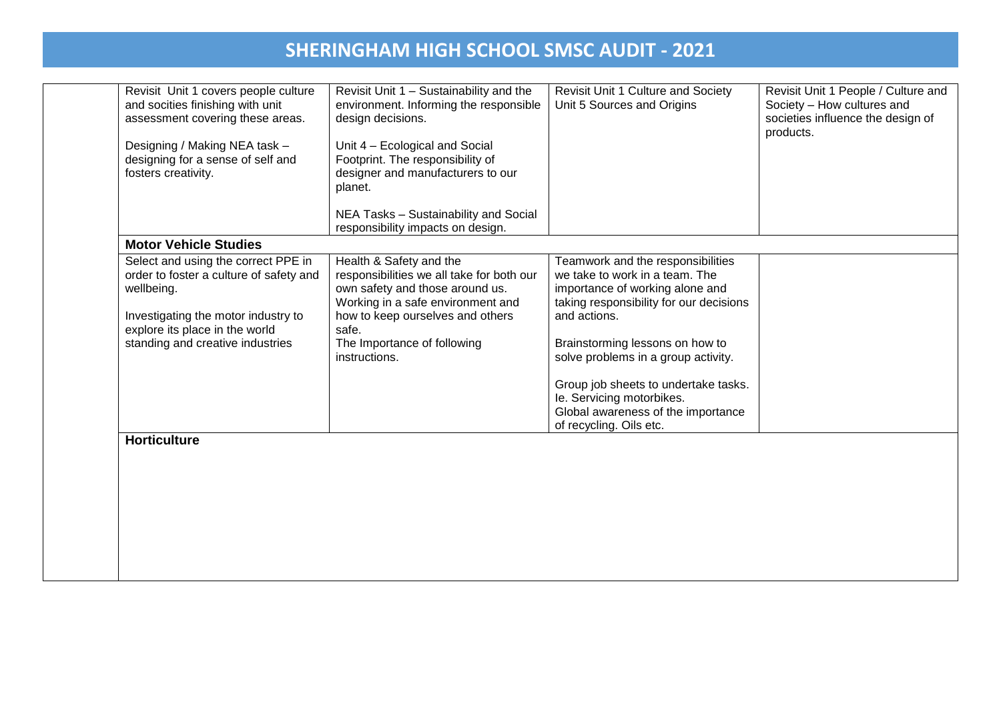| Designing / Making NEA task -<br>designing for a sense of self and<br>fosters creativity.                                                                                                                 | Unit 4 - Ecological and Social<br>Footprint. The responsibility of                                                                                                                                                                        |                                                                                                                                                                                                                                                                                                                                                                                   | products. |
|-----------------------------------------------------------------------------------------------------------------------------------------------------------------------------------------------------------|-------------------------------------------------------------------------------------------------------------------------------------------------------------------------------------------------------------------------------------------|-----------------------------------------------------------------------------------------------------------------------------------------------------------------------------------------------------------------------------------------------------------------------------------------------------------------------------------------------------------------------------------|-----------|
|                                                                                                                                                                                                           | designer and manufacturers to our<br>planet.                                                                                                                                                                                              |                                                                                                                                                                                                                                                                                                                                                                                   |           |
|                                                                                                                                                                                                           | NEA Tasks - Sustainability and Social<br>responsibility impacts on design.                                                                                                                                                                |                                                                                                                                                                                                                                                                                                                                                                                   |           |
| <b>Motor Vehicle Studies</b>                                                                                                                                                                              |                                                                                                                                                                                                                                           |                                                                                                                                                                                                                                                                                                                                                                                   |           |
| Select and using the correct PPE in<br>order to foster a culture of safety and<br>wellbeing.<br>Investigating the motor industry to<br>explore its place in the world<br>standing and creative industries | Health & Safety and the<br>responsibilities we all take for both our<br>own safety and those around us.<br>Working in a safe environment and<br>how to keep ourselves and others<br>safe.<br>The Importance of following<br>instructions. | Teamwork and the responsibilities<br>we take to work in a team. The<br>importance of working alone and<br>taking responsibility for our decisions<br>and actions.<br>Brainstorming lessons on how to<br>solve problems in a group activity.<br>Group job sheets to undertake tasks.<br>le. Servicing motorbikes.<br>Global awareness of the importance<br>of recycling. Oils etc. |           |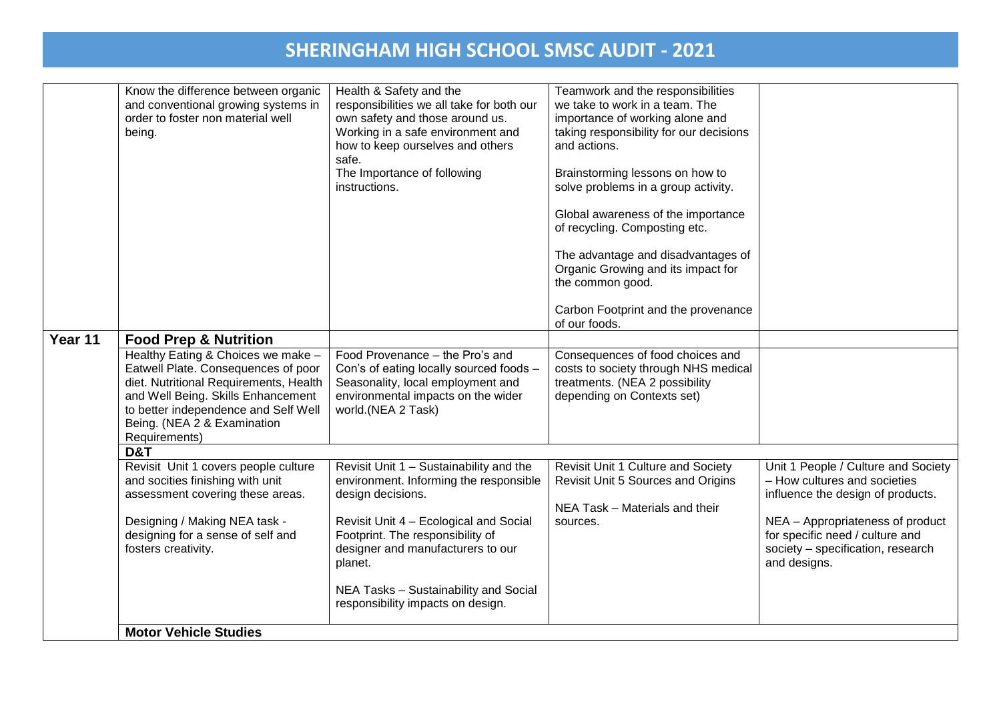|         | Know the difference between organic<br>and conventional growing systems in<br>order to foster non material well<br>being.                                                                                                                         | Health & Safety and the<br>responsibilities we all take for both our<br>own safety and those around us.<br>Working in a safe environment and<br>how to keep ourselves and others<br>safe.<br>The Importance of following<br>instructions. | Teamwork and the responsibilities<br>we take to work in a team. The<br>importance of working alone and<br>taking responsibility for our decisions<br>and actions.<br>Brainstorming lessons on how to<br>solve problems in a group activity.<br>Global awareness of the importance<br>of recycling. Composting etc.<br>The advantage and disadvantages of<br>Organic Growing and its impact for<br>the common good.<br>Carbon Footprint and the provenance |                                                                                                                          |
|---------|---------------------------------------------------------------------------------------------------------------------------------------------------------------------------------------------------------------------------------------------------|-------------------------------------------------------------------------------------------------------------------------------------------------------------------------------------------------------------------------------------------|-----------------------------------------------------------------------------------------------------------------------------------------------------------------------------------------------------------------------------------------------------------------------------------------------------------------------------------------------------------------------------------------------------------------------------------------------------------|--------------------------------------------------------------------------------------------------------------------------|
|         |                                                                                                                                                                                                                                                   |                                                                                                                                                                                                                                           | of our foods.                                                                                                                                                                                                                                                                                                                                                                                                                                             |                                                                                                                          |
| Year 11 | <b>Food Prep &amp; Nutrition</b>                                                                                                                                                                                                                  |                                                                                                                                                                                                                                           |                                                                                                                                                                                                                                                                                                                                                                                                                                                           |                                                                                                                          |
|         | Healthy Eating & Choices we make -<br>Eatwell Plate. Consequences of poor<br>diet. Nutritional Requirements, Health<br>and Well Being. Skills Enhancement<br>to better independence and Self Well<br>Being. (NEA 2 & Examination<br>Requirements) | Food Provenance - the Pro's and<br>Con's of eating locally sourced foods -<br>Seasonality, local employment and<br>environmental impacts on the wider<br>world.(NEA 2 Task)                                                               | Consequences of food choices and<br>costs to society through NHS medical<br>treatments. (NEA 2 possibility<br>depending on Contexts set)                                                                                                                                                                                                                                                                                                                  |                                                                                                                          |
|         | D&T                                                                                                                                                                                                                                               |                                                                                                                                                                                                                                           |                                                                                                                                                                                                                                                                                                                                                                                                                                                           |                                                                                                                          |
|         | Revisit Unit 1 covers people culture<br>and socities finishing with unit<br>assessment covering these areas.                                                                                                                                      | Revisit Unit 1 - Sustainability and the<br>environment. Informing the responsible<br>design decisions.                                                                                                                                    | Revisit Unit 1 Culture and Society<br>Revisit Unit 5 Sources and Origins<br>NEA Task - Materials and their                                                                                                                                                                                                                                                                                                                                                | Unit 1 People / Culture and Society<br>- How cultures and societies<br>influence the design of products.                 |
|         | Designing / Making NEA task -<br>designing for a sense of self and<br>fosters creativity.                                                                                                                                                         | Revisit Unit 4 - Ecological and Social<br>Footprint. The responsibility of<br>designer and manufacturers to our<br>planet.                                                                                                                | sources.                                                                                                                                                                                                                                                                                                                                                                                                                                                  | NEA - Appropriateness of product<br>for specific need / culture and<br>society - specification, research<br>and designs. |
|         |                                                                                                                                                                                                                                                   | NEA Tasks - Sustainability and Social<br>responsibility impacts on design.                                                                                                                                                                |                                                                                                                                                                                                                                                                                                                                                                                                                                                           |                                                                                                                          |
|         | <b>Motor Vehicle Studies</b>                                                                                                                                                                                                                      |                                                                                                                                                                                                                                           |                                                                                                                                                                                                                                                                                                                                                                                                                                                           |                                                                                                                          |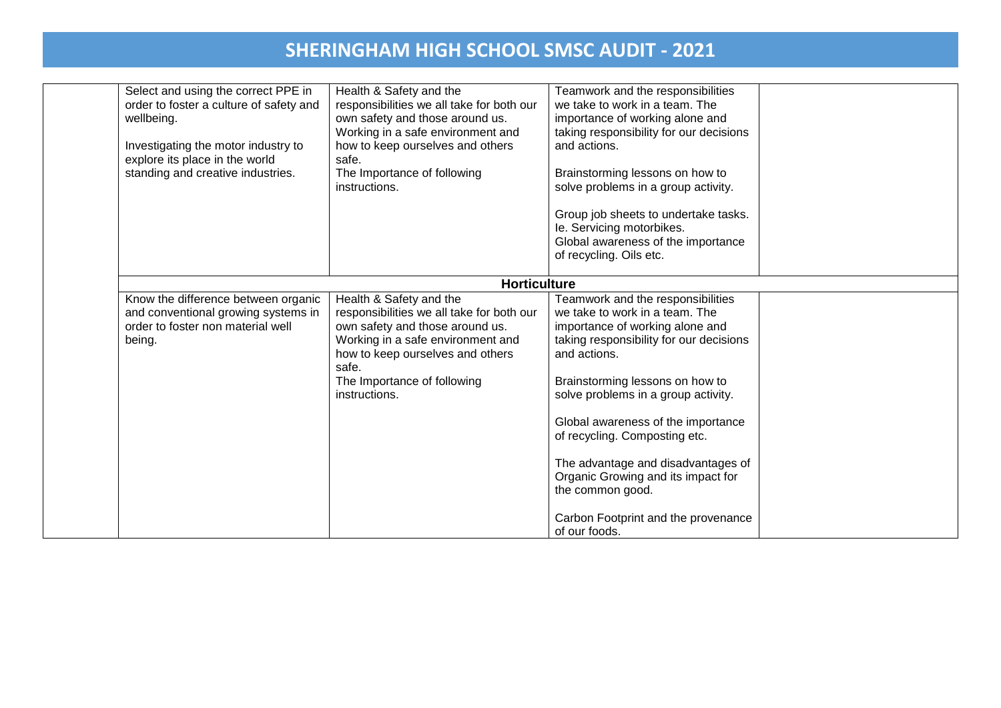| Select and using the correct PPE in<br>order to foster a culture of safety and<br>wellbeing.<br>Investigating the motor industry to<br>explore its place in the world<br>standing and creative industries. | Health & Safety and the<br>responsibilities we all take for both our<br>own safety and those around us.<br>Working in a safe environment and<br>how to keep ourselves and others<br>safe.<br>The Importance of following<br>instructions. | Teamwork and the responsibilities<br>we take to work in a team. The<br>importance of working alone and<br>taking responsibility for our decisions<br>and actions.<br>Brainstorming lessons on how to<br>solve problems in a group activity.<br>Group job sheets to undertake tasks.<br>le. Servicing motorbikes.<br>Global awareness of the importance<br>of recycling. Oils etc.                                                                                          |  |
|------------------------------------------------------------------------------------------------------------------------------------------------------------------------------------------------------------|-------------------------------------------------------------------------------------------------------------------------------------------------------------------------------------------------------------------------------------------|----------------------------------------------------------------------------------------------------------------------------------------------------------------------------------------------------------------------------------------------------------------------------------------------------------------------------------------------------------------------------------------------------------------------------------------------------------------------------|--|
|                                                                                                                                                                                                            | <b>Horticulture</b>                                                                                                                                                                                                                       |                                                                                                                                                                                                                                                                                                                                                                                                                                                                            |  |
| Know the difference between organic<br>and conventional growing systems in<br>order to foster non material well<br>being.                                                                                  | Health & Safety and the<br>responsibilities we all take for both our<br>own safety and those around us.<br>Working in a safe environment and<br>how to keep ourselves and others<br>safe.<br>The Importance of following<br>instructions. | Teamwork and the responsibilities<br>we take to work in a team. The<br>importance of working alone and<br>taking responsibility for our decisions<br>and actions.<br>Brainstorming lessons on how to<br>solve problems in a group activity.<br>Global awareness of the importance<br>of recycling. Composting etc.<br>The advantage and disadvantages of<br>Organic Growing and its impact for<br>the common good.<br>Carbon Footprint and the provenance<br>of our foods. |  |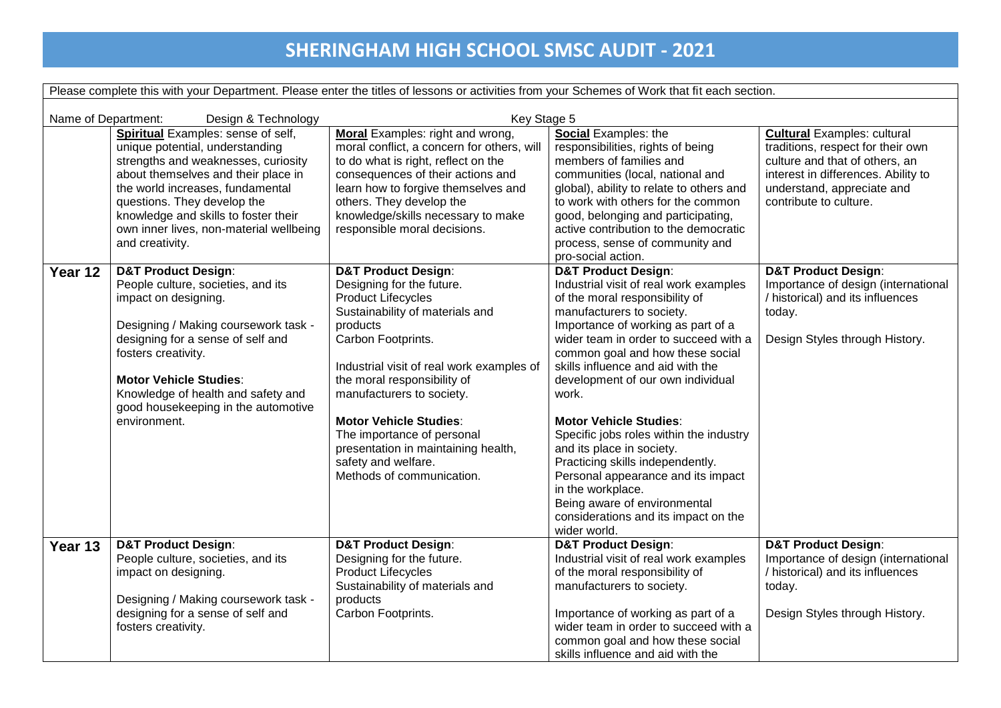Please complete this with your Department. Please enter the titles of lessons or activities from your Schemes of Work that fit each section.

| Name of Department: | Design & Technology                                                                                                                                                                                                                                                                                                            | Key Stage 5                                                                                                                                                                                                                                                                                                                                                                                                                      |                                                                                                                                                                                                                                                                                                                                                                                                                                                                                                                                                                                                                                               |                                                                                                                                                                                                          |
|---------------------|--------------------------------------------------------------------------------------------------------------------------------------------------------------------------------------------------------------------------------------------------------------------------------------------------------------------------------|----------------------------------------------------------------------------------------------------------------------------------------------------------------------------------------------------------------------------------------------------------------------------------------------------------------------------------------------------------------------------------------------------------------------------------|-----------------------------------------------------------------------------------------------------------------------------------------------------------------------------------------------------------------------------------------------------------------------------------------------------------------------------------------------------------------------------------------------------------------------------------------------------------------------------------------------------------------------------------------------------------------------------------------------------------------------------------------------|----------------------------------------------------------------------------------------------------------------------------------------------------------------------------------------------------------|
|                     | Spiritual Examples: sense of self,<br>unique potential, understanding<br>strengths and weaknesses, curiosity<br>about themselves and their place in<br>the world increases, fundamental<br>questions. They develop the<br>knowledge and skills to foster their<br>own inner lives, non-material wellbeing<br>and creativity.   | <b>Moral</b> Examples: right and wrong,<br>moral conflict, a concern for others, will<br>to do what is right, reflect on the<br>consequences of their actions and<br>learn how to forgive themselves and<br>others. They develop the<br>knowledge/skills necessary to make<br>responsible moral decisions.                                                                                                                       | Social Examples: the<br>responsibilities, rights of being<br>members of families and<br>communities (local, national and<br>global), ability to relate to others and<br>to work with others for the common<br>good, belonging and participating,<br>active contribution to the democratic<br>process, sense of community and<br>pro-social action.                                                                                                                                                                                                                                                                                            | <b>Cultural Examples: cultural</b><br>traditions, respect for their own<br>culture and that of others, an<br>interest in differences. Ability to<br>understand, appreciate and<br>contribute to culture. |
| Year 12             | <b>D&amp;T Product Design:</b><br>People culture, societies, and its<br>impact on designing.<br>Designing / Making coursework task -<br>designing for a sense of self and<br>fosters creativity.<br><b>Motor Vehicle Studies:</b><br>Knowledge of health and safety and<br>good housekeeping in the automotive<br>environment. | <b>D&amp;T Product Design:</b><br>Designing for the future.<br><b>Product Lifecycles</b><br>Sustainability of materials and<br>products<br>Carbon Footprints.<br>Industrial visit of real work examples of<br>the moral responsibility of<br>manufacturers to society.<br><b>Motor Vehicle Studies:</b><br>The importance of personal<br>presentation in maintaining health,<br>safety and welfare.<br>Methods of communication. | <b>D&amp;T Product Design:</b><br>Industrial visit of real work examples<br>of the moral responsibility of<br>manufacturers to society.<br>Importance of working as part of a<br>wider team in order to succeed with a<br>common goal and how these social<br>skills influence and aid with the<br>development of our own individual<br>work.<br><b>Motor Vehicle Studies:</b><br>Specific jobs roles within the industry<br>and its place in society.<br>Practicing skills independently.<br>Personal appearance and its impact<br>in the workplace.<br>Being aware of environmental<br>considerations and its impact on the<br>wider world. | <b>D&amp;T Product Design:</b><br>Importance of design (international<br>/ historical) and its influences<br>today.<br>Design Styles through History.                                                    |
| Year 13             | <b>D&amp;T Product Design:</b><br>People culture, societies, and its<br>impact on designing.<br>Designing / Making coursework task -<br>designing for a sense of self and<br>fosters creativity.                                                                                                                               | <b>D&amp;T Product Design:</b><br>Designing for the future.<br><b>Product Lifecycles</b><br>Sustainability of materials and<br>products<br>Carbon Footprints.                                                                                                                                                                                                                                                                    | <b>D&amp;T Product Design:</b><br>Industrial visit of real work examples<br>of the moral responsibility of<br>manufacturers to society.<br>Importance of working as part of a<br>wider team in order to succeed with a<br>common goal and how these social<br>skills influence and aid with the                                                                                                                                                                                                                                                                                                                                               | <b>D&amp;T Product Design:</b><br>Importance of design (international<br>/ historical) and its influences<br>today.<br>Design Styles through History.                                                    |